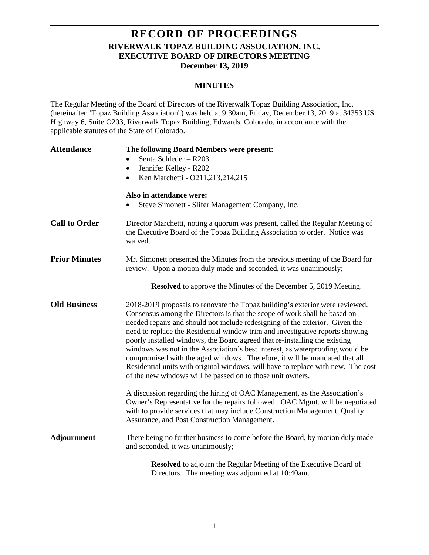## **RECORD OF PROCEEDINGS RIVERWALK TOPAZ BUILDING ASSOCIATION, INC. EXECUTIVE BOARD OF DIRECTORS MEETING December 13, 2019**

## **MINUTES**

The Regular Meeting of the Board of Directors of the Riverwalk Topaz Building Association, Inc. (hereinafter "Topaz Building Association") was held at 9:30am, Friday, December 13, 2019 at 34353 US Highway 6, Suite O203, Riverwalk Topaz Building, Edwards, Colorado, in accordance with the applicable statutes of the State of Colorado.

| <b>Attendance</b>    | The following Board Members were present:                                                                                                                                                                                                                                                                                                                                                                                                                                                                                                                                                                                                                                                                                 |
|----------------------|---------------------------------------------------------------------------------------------------------------------------------------------------------------------------------------------------------------------------------------------------------------------------------------------------------------------------------------------------------------------------------------------------------------------------------------------------------------------------------------------------------------------------------------------------------------------------------------------------------------------------------------------------------------------------------------------------------------------------|
|                      | Senta Schleder - R203                                                                                                                                                                                                                                                                                                                                                                                                                                                                                                                                                                                                                                                                                                     |
|                      | Jennifer Kelley - R202<br>$\bullet$                                                                                                                                                                                                                                                                                                                                                                                                                                                                                                                                                                                                                                                                                       |
|                      | Ken Marchetti - O211,213,214,215<br>$\bullet$                                                                                                                                                                                                                                                                                                                                                                                                                                                                                                                                                                                                                                                                             |
|                      | Also in attendance were:                                                                                                                                                                                                                                                                                                                                                                                                                                                                                                                                                                                                                                                                                                  |
|                      | Steve Simonett - Slifer Management Company, Inc.                                                                                                                                                                                                                                                                                                                                                                                                                                                                                                                                                                                                                                                                          |
| <b>Call to Order</b> | Director Marchetti, noting a quorum was present, called the Regular Meeting of<br>the Executive Board of the Topaz Building Association to order. Notice was<br>waived.                                                                                                                                                                                                                                                                                                                                                                                                                                                                                                                                                   |
| <b>Prior Minutes</b> | Mr. Simonett presented the Minutes from the previous meeting of the Board for<br>review. Upon a motion duly made and seconded, it was unanimously;                                                                                                                                                                                                                                                                                                                                                                                                                                                                                                                                                                        |
|                      | <b>Resolved</b> to approve the Minutes of the December 5, 2019 Meeting.                                                                                                                                                                                                                                                                                                                                                                                                                                                                                                                                                                                                                                                   |
| <b>Old Business</b>  | 2018-2019 proposals to renovate the Topaz building's exterior were reviewed.<br>Consensus among the Directors is that the scope of work shall be based on<br>needed repairs and should not include redesigning of the exterior. Given the<br>need to replace the Residential window trim and investigative reports showing<br>poorly installed windows, the Board agreed that re-installing the existing<br>windows was not in the Association's best interest, as waterproofing would be<br>compromised with the aged windows. Therefore, it will be mandated that all<br>Residential units with original windows, will have to replace with new. The cost<br>of the new windows will be passed on to those unit owners. |
|                      | A discussion regarding the hiring of OAC Management, as the Association's<br>Owner's Representative for the repairs followed. OAC Mgmt. will be negotiated<br>with to provide services that may include Construction Management, Quality<br>Assurance, and Post Construction Management.                                                                                                                                                                                                                                                                                                                                                                                                                                  |
| Adjournment          | There being no further business to come before the Board, by motion duly made<br>and seconded, it was unanimously;                                                                                                                                                                                                                                                                                                                                                                                                                                                                                                                                                                                                        |
|                      | Resolved to adjourn the Regular Meeting of the Executive Board of<br>Directors. The meeting was adjourned at 10:40am.                                                                                                                                                                                                                                                                                                                                                                                                                                                                                                                                                                                                     |